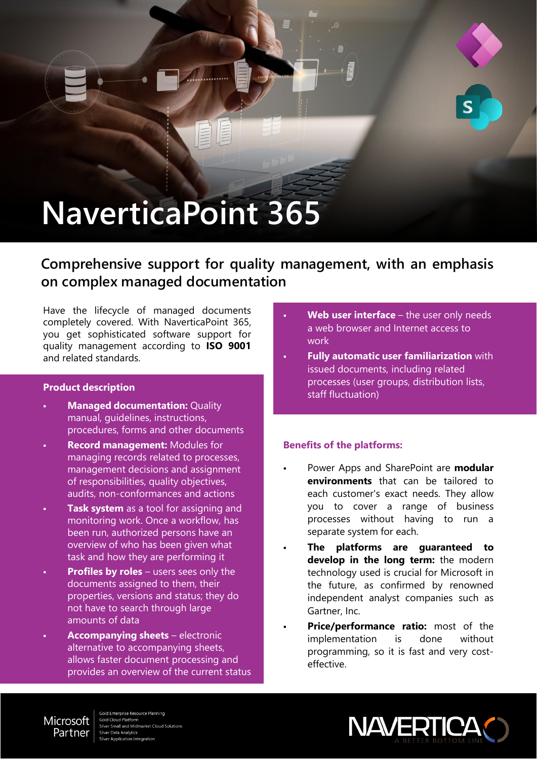# **NaverticaPoint 365**

**Comprehensive support for quality management, with an emphasis on complex managed documentation**

Have the lifecycle of managed documents completely covered. With NaverticaPoint 365, you get sophisticated software support for quality management according to **ISO 9001** and related standards.

#### **Product description**

- **Managed documentation: Quality** manual, guidelines, instructions, procedures, forms and other documents
- **Record management: Modules for** managing records related to processes, management decisions and assignment of responsibilities, quality objectives, audits, non-conformances and actions
- **Task system** as a tool for assigning and monitoring work. Once a workflow, has been run, authorized persons have an overview of who has been given what task and how they are performing it
- **Profiles by roles** users sees only the documents assigned to them, their properties, versions and status; they do not have to search through large amounts of data
- **Accompanying sheets** electronic alternative to accompanying sheets, allows faster document processing and provides an overview of the current status
- Web user interface the user only needs a web browser and Internet access to work
- **Fully automatic user familiarization** with issued documents, including related processes (user groups, distribution lists, staff fluctuation)

# **Benefits of the platforms:**

- Power Apps and SharePoint are **modular environments** that can be tailored to each customer's exact needs. They allow you to cover a range of business processes without having to run a separate system for each.
- **The platforms are guaranteed to develop in the long term:** the modern technology used is crucial for Microsoft in the future, as confirmed by renowned independent analyst companies such as Gartner, Inc.
- **Price/performance ratio:** most of the implementation is done without programming, so it is fast and very costeffective.



old Enterprise Resource Planning **Gold Cloud Platform** mall and Midmarket Cloud Solutions er Data Analytics lication Integration